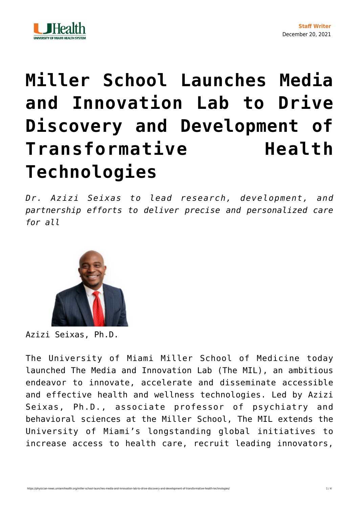

## **[Miller School Launches Media](https://physician-news.umiamihealth.org/miller-school-launches-media-and-innovation-lab-to-drive-discovery-and-development-of-transformative-health-technologies/) [and Innovation Lab to Drive](https://physician-news.umiamihealth.org/miller-school-launches-media-and-innovation-lab-to-drive-discovery-and-development-of-transformative-health-technologies/) [Discovery and Development of](https://physician-news.umiamihealth.org/miller-school-launches-media-and-innovation-lab-to-drive-discovery-and-development-of-transformative-health-technologies/) [Transformative Health](https://physician-news.umiamihealth.org/miller-school-launches-media-and-innovation-lab-to-drive-discovery-and-development-of-transformative-health-technologies/) [Technologies](https://physician-news.umiamihealth.org/miller-school-launches-media-and-innovation-lab-to-drive-discovery-and-development-of-transformative-health-technologies/)**

*Dr. Azizi Seixas to lead research, development, and partnership efforts to deliver precise and personalized care for all*



Azizi Seixas, Ph.D.

The University of Miami [Miller School of Medicine](https://med.miami.edu/) today launched The Media and Innovation Lab (The MIL), an ambitious endeavor to innovate, accelerate and disseminate accessible and effective health and wellness technologies. Led by Azizi Seixas, Ph.D., associate professor of psychiatry and behavioral sciences at the Miller School, The MIL extends the University of Miami's longstanding global initiatives to increase access to health care, recruit leading innovators,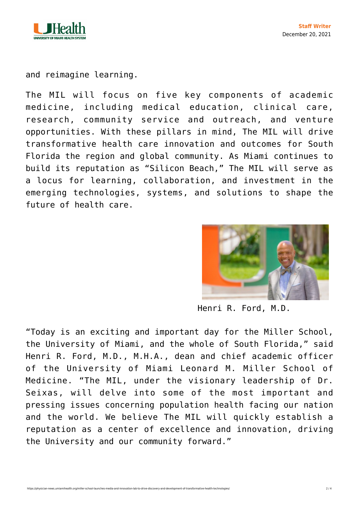

and reimagine learning.

The MIL will focus on five key components of academic medicine, including medical education, clinical care, research, community service and outreach, and venture opportunities. With these pillars in mind, The MIL will drive transformative health care innovation and outcomes for South Florida the region and global community. As Miami continues to build its reputation as "Silicon Beach," The MIL will serve as a locus for learning, collaboration, and investment in the emerging technologies, systems, and solutions to shape the future of health care.



Henri R. Ford, M.D.

"Today is an exciting and important day for the Miller School, the University of Miami, and the whole of South Florida," said Henri R. Ford, M.D., M.H.A., dean and chief academic officer of the University of Miami Leonard M. Miller School of Medicine. "The MIL, under the visionary leadership of Dr. Seixas, will delve into some of the most important and pressing issues concerning population health facing our nation and the world. We believe The MIL will quickly establish a reputation as a center of excellence and innovation, driving the University and our community forward."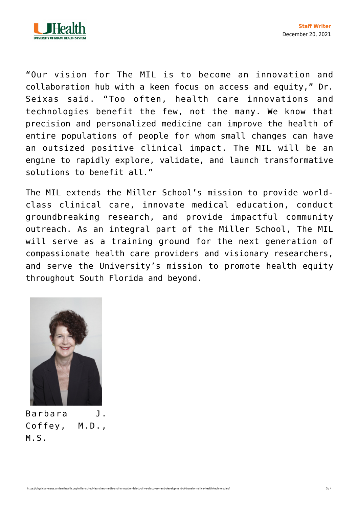

"Our vision for The MIL is to become an innovation and collaboration hub with a keen focus on access and equity," Dr. Seixas said. "Too often, health care innovations and technologies benefit the few, not the many. We know that precision and personalized medicine can improve the health of entire populations of people for whom small changes can have an outsized positive clinical impact. The MIL will be an engine to rapidly explore, validate, and launch transformative solutions to benefit all."

The MIL extends the Miller School's mission to provide worldclass clinical care, innovate medical education, conduct groundbreaking research, and provide impactful community outreach. As an integral part of the Miller School, The MIL will serve as a training ground for the next generation of compassionate health care providers and visionary researchers, and serve the University's mission to promote health equity throughout South Florida and beyond.



Barbara J. Coffey, M.D., M.S.